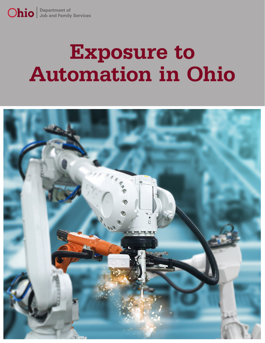# **Exposure to Automation in Ohio**

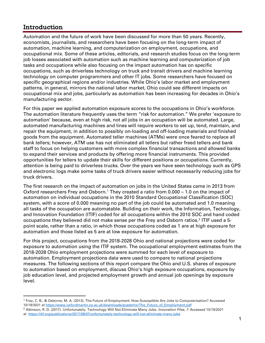## Introduction

Automation and the future of work have been discussed for more than 50 years. Recently, economists, journalists, and researchers have been focusing on the long-term impact of automation, machine learning, and computerization on employment, occupations, and occupational mix. Some of these articles, editorials, and research studies focus on the long-term job losses associated with automation such as machine learning and computerization of job tasks and occupations while also focusing on the impact automation has on specific occupations, such as driverless technology on truck and transit drivers and machine learning technology on computer programmers and other IT jobs. Some researchers have focused on specific geographical regions and/or industries. While Ohio's labor market and employment patterns, in general, mirrors the national labor market, Ohio could see different impacts on occupational mix and jobs, particularly as automation has been increasing for decades in Ohio's manufacturing sector.

For this paper we applied automation exposure scores to the occupations in Ohio's workforce. The automation literature frequently uses the term "risk for automation." We prefer 'exposure to automation' because, even at high risk, not all jobs in an occupation will be automated. Large, automated manufacturing machines and lines will require workers to set up, tend, maintain, and repair the equipment, in addition to possibly on-loading and off-loading materials and finished goods from the equipment. Automated teller machines (ATMs) were once feared to replace all bank tellers; however, ATM use has not eliminated all tellers but rather freed tellers and bank staff to focus on helping customers with more complex financial transactions and allowed banks to expand their services and products by offering more financial instruments. This provided opportunities for tellers to update their skills for different positions or occupations. Currently, attention is being paid to driverless trucks. Over the years we have seen technology such as GPS and electronic logs make some tasks of truck drivers easier without necessarily reducing jobs for truck drivers.

The first research on the impact of automation on jobs in the United States came in 2013 from Oxford researchers Frey and Osborn.<sup>[1](#page-1-0)</sup> They created a ratio from 0.000 – 1.0 on the impact of automation on individual occupations in the 2010 Standard Occupational Classification (SOC) system, with a score of 0.000 meaning no part of the job could be automated and 1.0 meaning all tasks of the occupation are automatable. Building on their work, the Information, Technology, and Innovation Foundation (ITIF) coded for all occupations within the 2010 SOC and hand coded occupations they believed did not make sense per the Frey and Osborn ratios.<sup>[2](#page-1-1)</sup> ITIF used a 5point scale, rather than a ratio, in which those occupations coded as 1 are at high exposure for automation and those listed as 5 are at low exposure for automation.

For this project, occupations from the 2018-2028 Ohio and national projections were coded for exposure to automation using the ITIF system. The occupational employment estimates from the 2018-2028 Ohio employment projections were summed for each level of exposure to automation. Employment projections data were used to compare to national projections measures. The following sections of this report compare the Ohio and U.S. shares of exposure to automation based on employment, discuss Ohio's high exposure occupations, exposure by job education level, and projected employment growth and annual job openings by exposure level.

<span id="page-1-0"></span><sup>1</sup> Frey, C. B., & Osborne, M. A. (2013). The Future of Employment: How Susceptible Are Jobs to Computerisation? Accessed 10/19/2021 a[t https://www.oxfordmartin.ox.ac.uk/downloads/academic/The\\_Future\\_of\\_Employment.pdf](https://www.oxfordmartin.ox.ac.uk/downloads/academic/The_Future_of_Employment.pdf)

<span id="page-1-1"></span><sup>&</sup>lt;sup>2</sup> Atkinson, R. D. (2017). Unfortunately, Technology Will Not Eliminate Many Jobs. Innovation Files, 7. Accessed 10/19/2021 at<https://itif.org/publications/2017/08/07/unfortunately-technology-will-not-eliminate-many-jobs>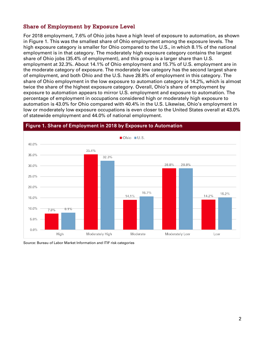#### Share of Employment by Exposure Level

For 2018 employment, 7.6% of Ohio jobs have a high level of exposure to automation, as shown in Figure 1. This was the smallest share of Ohio employment among the exposure levels. The high exposure category is smaller for Ohio compared to the U.S., in which 8.1% of the national employment is in that category. The moderately high exposure category contains the largest share of Ohio jobs (35.4% of employment), and this group is a larger share than U.S. employment at 32.3%. About 14.1% of Ohio employment and 15.7% of U.S. employment are in the moderate category of exposure. The moderately low category has the second largest share of employment, and both Ohio and the U.S. have 28.8% of employment in this category. The share of Ohio employment in the low exposure to automation category is 14.2%, which is almost twice the share of the highest exposure category. Overall, Ohio's share of employment by exposure to automation appears to mirror U.S. employment and exposure to automation. The percentage of employment in occupations considered high or moderately high exposure to automation is 43.0% for Ohio compared with 40.4% in the U.S. Likewise, Ohio's employment in low or moderately low exposure occupations is even closer to the United States overall at 43.0% of statewide employment and 44.0% of national employment.



#### Figure 1. Share of Employment in 2018 by Exposure to Automation

Source: Bureau of Labor Market Information and ITIF risk categories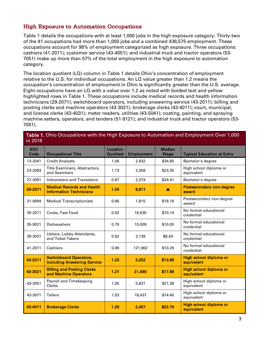#### High Exposure to Automation Occupations

Table 1 details the occupations with at least 1,000 jobs in the high exposure category. Thirty-two of the 41 occupations had more than 1,000 jobs and a combined 436,575 employment. These occupations account for 98% of employment categorized as high exposure. Three occupations: cashiers (41-2011); customer service (43-4051); and industrial truck and tractor operators (53- 7051) make up more than 57% of the total employment in the high exposure to automation category.

The location quotient (LQ) column in Table 1 details Ohio's concentration of employment relative to the U.S. for individual occupations. An LQ value greater than 1.2 means the occupation's concentration of employment in Ohio is significantly greater than the U.S. average. Eight occupations have an LQ with a value over 1.2 as noted with bolded text and yellow highlighted rows in Table 1. These occupations include medical records and health information technicians (29-2071); switchboard operators, including answering service (43-2011); billing and posting clerks and machine operators (43-3021); brokerage clerks (43-4011); court, municipal, and license clerks (43-4031); meter readers, utilities (43-5041); coating, painting, and spraying machine setters, operators, and tenders (51-9121); and industrial truck and tractor operators (53- 7051).

| <b>SOC</b><br>Code | <b>Occupational Title</b>                                           | Location<br><b>Quotient</b> | <b>Employment</b> | <b>Median</b><br>Wage | <b>Typical Education at Entry</b>        |
|--------------------|---------------------------------------------------------------------|-----------------------------|-------------------|-----------------------|------------------------------------------|
| 13-2041            | <b>Credit Analysts</b>                                              | 1.06                        | 2,932             | \$34.65               | Bachelor's degree                        |
| 23-2093            | Title Examiners, Abstractors,<br>and Searchers                      | 1.13                        | 2,558             | \$23.30               | High school diploma or<br>equivalent     |
| 27-3091            | <b>Interpreters and Translators</b>                                 | 0.87                        | 2,374             | \$24.41               | Bachelor's degree                        |
| 29-2071            | <b>Medical Records and Health</b><br><b>Information Technicians</b> | 1.24                        | 9,811             | A                     | <b>Postsecondary non-degree</b><br>award |
| 31-9094            | <b>Medical Transcriptionists</b>                                    | 0.86                        | 1,815             | \$18.18               | Postsecondary non-degree<br>award        |
| 35-2011            | Cooks, Fast Food                                                    | 0.92                        | 16,635            | \$10.14               | No formal educational<br>credential      |
| 35-9021            | <b>Dishwashers</b>                                                  | 0.79                        | 15,009            | \$10.00               | No formal educational<br>credential      |
| 39-3031            | Ushers, Lobby Attendants,<br>and Ticket Takers                      | 0.62                        | 3,139             | \$9.43                | No formal educational<br>credential      |
| 41-2011            | Cashiers                                                            | 0.89                        | 121,962           | \$10.29               | No formal educational<br>credential      |
| 43-2011            | <b>Switchboard Operators,</b><br><b>Including Answering Service</b> | 1.23                        | 3,252             | \$13.89               | High school diploma or<br>equivalent     |
| 43-3021            | <b>Billing and Posting Clerks</b><br>and Machine Operators          | 1.21                        | 21,490            | \$17.89               | High school diploma or<br>equivalent     |
| 43-3051            | Payroll and Timekeeping<br>Clerks                                   | 1.05                        | 5,831             | \$21.38               | High school diploma or<br>equivalent     |
| 43-3071            | <b>Tellers</b>                                                      | 1.03                        | 18,437            | \$14.40               | High school diploma or<br>equivalent     |
| 43-4011            | <b>Brokerage Clerks</b>                                             | 1.20                        | 2,457             | \$23.79               | High school diploma or<br>equivalent     |

Table 1. Ohio Occupations with the High Exposure to Automation and Employment Over 1,000 in 2018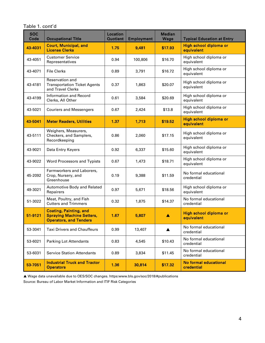Table 1. cont'd

| <b>SOC</b><br>Code | <b>Occupational Title</b>                                                                          | <b>Location</b><br><b>Quotient</b> | <b>Employment</b> | <b>Median</b><br>Wage | <b>Typical Education at Entry</b>    |
|--------------------|----------------------------------------------------------------------------------------------------|------------------------------------|-------------------|-----------------------|--------------------------------------|
| 43-4031            | <b>Court, Municipal, and</b><br><b>License Clerks</b>                                              | 1.75                               | 9,481             | \$17.93               | High school diploma or<br>equivalent |
| 43-4051            | <b>Customer Service</b><br>Representatives                                                         | 0.94                               | 100,806           | \$16.70               | High school diploma or<br>equivalent |
| 43-4071            | <b>File Clerks</b>                                                                                 | 0.89                               | 3,791             | \$16.72               | High school diploma or<br>equivalent |
| 43-4181            | Reservation and<br><b>Transportation Ticket Agents</b><br>and Travel Clerks                        | 0.37                               | 1,863             | \$20.07               | High school diploma or<br>equivalent |
| 43-4199            | Information and Record<br>Clerks, All Other                                                        | 0.61                               | 3,584             | \$20.69               | High school diploma or<br>equivalent |
| 43-5021            | <b>Couriers and Messengers</b>                                                                     | 0.67                               | 2,424             | \$13.8                | High school diploma or<br>equivalent |
| 43-5041            | <b>Meter Readers, Utilities</b>                                                                    | 1.37                               | 1,713             | \$19.52               | High school diploma or<br>equivalent |
| 43-5111            | Weighers, Measurers,<br>Checkers, and Samplers,<br>Recordkeeping                                   | 0.86                               | 2,060             | \$17.15               | High school diploma or<br>equivalent |
| 43-9021            | Data Entry Keyers                                                                                  | 0.92                               | 6,337             | \$15.60               | High school diploma or<br>equivalent |
| 43-9022            | Word Processors and Typists                                                                        | 0.67                               | 1,473             | \$18.71               | High school diploma or<br>equivalent |
| 45-2092            | Farmworkers and Laborers,<br>Crop, Nursery, and<br>Greenhouse                                      | 0.19                               | 9,388             | \$11.59               | No formal educational<br>credential  |
| 49-3021            | Automotive Body and Related<br>Repairers                                                           | 0.97                               | 5,671             | \$18.56               | High school diploma or<br>equivalent |
| 51-3022            | Meat, Poultry, and Fish<br><b>Cutters and Trimmers</b>                                             | 0.32                               | 1,875             | \$14.37               | No formal educational<br>credential  |
| 51-9121            | <b>Coating, Painting, and</b><br><b>Spraying Machine Setters,</b><br><b>Operators, and Tenders</b> | 1.67                               | 5,807             |                       | High school diploma or<br>equivalent |
| 53-3041            | <b>Taxi Drivers and Chauffeurs</b>                                                                 | 0.99                               | 13,407            |                       | No formal educational<br>credential  |
| 53-6021            | <b>Parking Lot Attendants</b>                                                                      | 0.83                               | 4,545             | \$10.43               | No formal educational<br>credential  |
| 53-6031            | <b>Service Station Attendants</b>                                                                  | 0.89                               | 3,834             | \$11.45               | No formal educational<br>credential  |
| 53-7051            | <b>Industrial Truck and Tractor</b><br><b>Operators</b>                                            | 1.36                               | 30,814            | \$17.32               | No formal educational<br>credential  |

 Wage data unavailable due to OES/SOC changes. https:www.bls.gov/soc/2018/#publications Source: Bureau of Labor Market Information and ITIF Risk Categories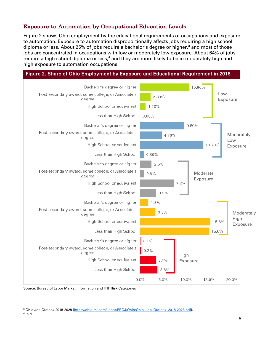#### Exposure to Automation by Occupational Education Levels

Figure 2 shows Ohio employment by the educational requirements of occupations and exposure to automation. Exposure to automation disproportionally affects jobs requiring a high school diploma or less. About 25% of jobs require a bachelor's degree or higher,<sup>[3](#page-5-0)</sup> and most of those jobs are concentrated in occupations with low or moderately low exposure. About 64% of jobs require a high school diploma or less, $4$  and they are more likely to be in moderately high and high exposure to automation occupations.

| Figure 2. Share of Ohio Employment by Exposure and Educational Requirement in 2018 |                                            |            |
|------------------------------------------------------------------------------------|--------------------------------------------|------------|
| Bachelor's degree or higher                                                        | 10.60%                                     |            |
| Post-secondary award, some college, or Associate's<br>degree                       | Low<br>2.30%<br>Exposure                   |            |
| High School or equivalent                                                          | 1.20%                                      |            |
| Less than High School                                                              | $0.00\%$                                   |            |
| Bachelor's degree or higher                                                        | 9.60%                                      |            |
| Post-secondary award, some college, or Associate's<br>degree                       | Moderately<br>4.70%<br>Low                 |            |
| High School or equivalent                                                          | 13.70%                                     | Exposure   |
| Less than High School                                                              | 0.80%                                      |            |
| Bachelor's degree or higher                                                        | 2.5%                                       |            |
| Post-secondary award, some college, or Associate's<br>degree                       | Moderate<br>0.8%                           |            |
| High School or equivalent                                                          | Exposure<br>7.3%                           |            |
| Less than High School                                                              | 3.5%                                       |            |
| Bachelor's degree or higher                                                        | 1.8%                                       |            |
| Post-secondary award, some college, or Associate's<br>degree                       | 3.3%                                       | Moderately |
| High School or equivalent                                                          | High<br>15.3%                              | Exposure   |
| Less than High School                                                              | 15.0%                                      |            |
| Bachelor's degree or higher                                                        | 0.1%                                       |            |
| Post-secondary award, some college, or Associate's<br>degree                       | 0.2%<br>High                               |            |
| High School or equivalent                                                          | $3.4\%$<br>Exposure                        |            |
| Less than High School                                                              | 3.8%                                       |            |
|                                                                                    | 0.0%<br>$5.0\%$<br>10.0%<br>15.0%<br>20.0% |            |

Source: Bureau of Labor Market Information and ITIF Risk Categories

<span id="page-5-1"></span><span id="page-5-0"></span><sup>&</sup>lt;sup>3</sup> Ohio Job Outlook 2018-2028 [\(https://ohiolmi.com/\\_docs/PROJ/Ohio/Ohio\\_Job\\_Outlook\\_2018-2028.pdf\).](https://ohiolmi.com/_docs/PROJ/Ohio/Ohio_Job_Outlook_2018-2028.pdf)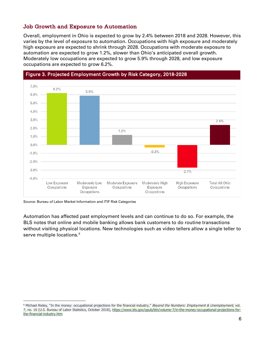#### Job Growth and Exposure to Automation

Overall, employment in Ohio is expected to grow by 2.4% between 2018 and 2028. However, this varies by the level of exposure to automation. Occupations with high exposure and moderately high exposure are expected to shrink through 2028. Occupations with moderate exposure to automation are expected to grow 1.2%, slower than Ohio's anticipated overall growth. Moderately low occupations are expected to grow 5.9% through 2028, and low exposure occupations are expected to grow 6.2%.



## Figure 3. Projected Employment Growth by Risk Category, 2018-2028

Source: Bureau of Labor Market Information and ITIF Risk Categories

Automation has affected past employment levels and can continue to do so. For example, the BLS notes that online and mobile banking allows bank customers to do routine transactions without visiting physical locations. New technologies such as video tellers allow a single teller to serve multiple locations.<sup>[5](#page-6-0)</sup>

<span id="page-6-0"></span><sup>&</sup>lt;sup>5</sup> Michael Rieley, "In the money: occupational projections for the financial industry," Beyond the Numbers: Employment & Unemployment, vol. 7, no. 16 (U.S. Bureau of Labor Statistics, October 2018), [https://www.bls.gov/opub/btn/volume-7/in-the-money-occupational-projections-for](https://www.bls.gov/opub/btn/volume-7/in-the-money-occupational-projections-for-the-financial-industry.htm)[the-financial-industry.htm](https://www.bls.gov/opub/btn/volume-7/in-the-money-occupational-projections-for-the-financial-industry.htm)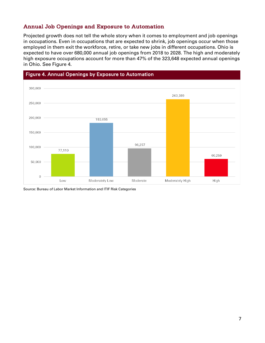#### Annual Job Openings and Exposure to Automation

Projected growth does not tell the whole story when it comes to employment and job openings in occupations. Even in occupations that are expected to shrink, job openings occur when those employed in them exit the workforce, retire, or take new jobs in different occupations. Ohio is expected to have over 680,000 annual job openings from 2018 to 2028. The high and moderately high exposure occupations account for more than 47% of the 323,648 expected annual openings in Ohio. See Figure 4.



Source: Bureau of Labor Market Information and ITIF Risk Categories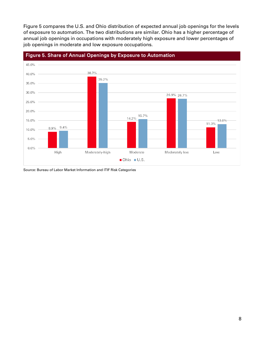Figure 5 compares the U.S. and Ohio distribution of expected annual job openings for the levels of exposure to automation. The two distributions are similar. Ohio has a higher percentage of annual job openings in occupations with moderately high exposure and lower percentages of job openings in moderate and low exposure occupations.



Source: Bureau of Labor Market Information and ITIF Risk Categories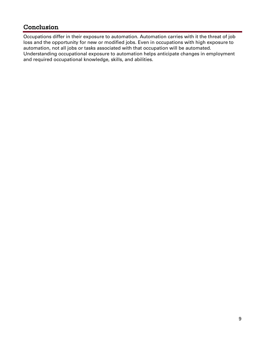## Conclusion

Occupations differ in their exposure to automation. Automation carries with it the threat of job loss and the opportunity for new or modified jobs. Even in occupations with high exposure to automation, not all jobs or tasks associated with that occupation will be automated. Understanding occupational exposure to automation helps anticipate changes in employment and required occupational knowledge, skills, and abilities.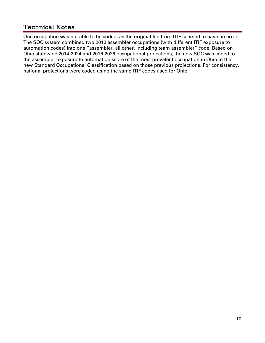## Technical Notes

One occupation was not able to be coded, as the original file from ITIF seemed to have an error. The SOC system combined two 2010 assembler occupations (with different ITIF exposure to automation codes) into one "assembler, all other, including team assembler" code. Based on Ohio statewide 2014-2024 and 2016-2026 occupational projections, the new SOC was coded to the assembler exposure to automation score of the most prevalent occupation in Ohio in the new Standard Occupational Classification based on those previous projections. For consistency, national projections were coded using the same ITIF codes used for Ohio.